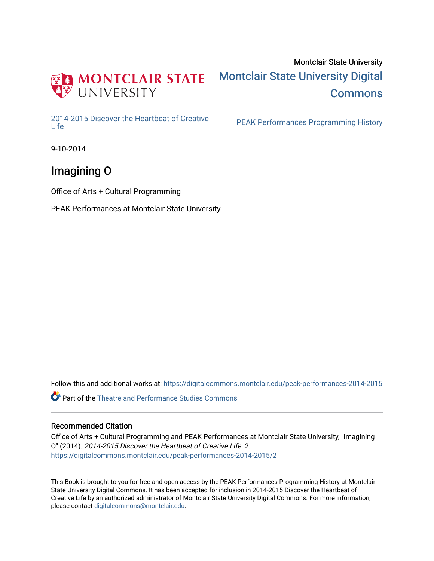

### Montclair State University [Montclair State University Digital](https://digitalcommons.montclair.edu/)  **Commons**

[2014-2015 Discover the Heartbeat of Creative](https://digitalcommons.montclair.edu/peak-performances-2014-2015) 

PEAK Performances Programming History

9-10-2014

### Imagining O

Office of Arts + Cultural Programming

PEAK Performances at Montclair State University

Follow this and additional works at: [https://digitalcommons.montclair.edu/peak-performances-2014-2015](https://digitalcommons.montclair.edu/peak-performances-2014-2015?utm_source=digitalcommons.montclair.edu%2Fpeak-performances-2014-2015%2F2&utm_medium=PDF&utm_campaign=PDFCoverPages) 

Part of the [Theatre and Performance Studies Commons](http://network.bepress.com/hgg/discipline/552?utm_source=digitalcommons.montclair.edu%2Fpeak-performances-2014-2015%2F2&utm_medium=PDF&utm_campaign=PDFCoverPages) 

#### Recommended Citation

Office of Arts + Cultural Programming and PEAK Performances at Montclair State University, "Imagining O" (2014). 2014-2015 Discover the Heartbeat of Creative Life. 2. [https://digitalcommons.montclair.edu/peak-performances-2014-2015/2](https://digitalcommons.montclair.edu/peak-performances-2014-2015/2?utm_source=digitalcommons.montclair.edu%2Fpeak-performances-2014-2015%2F2&utm_medium=PDF&utm_campaign=PDFCoverPages) 

This Book is brought to you for free and open access by the PEAK Performances Programming History at Montclair State University Digital Commons. It has been accepted for inclusion in 2014-2015 Discover the Heartbeat of Creative Life by an authorized administrator of Montclair State University Digital Commons. For more information, please contact [digitalcommons@montclair.edu.](mailto:digitalcommons@montclair.edu)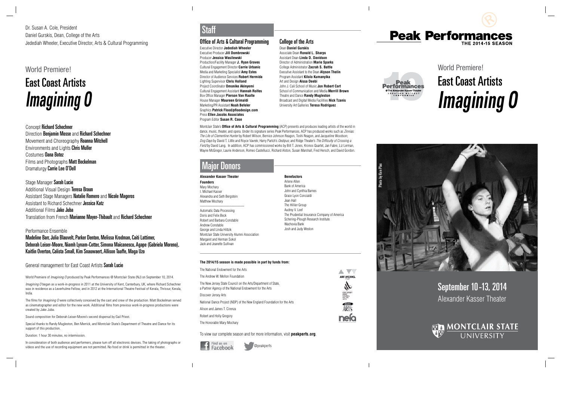### September 10-13, 2014 Alexander Kasser Theater



# World Premiere! East Coast Artists **Imagining O**



#### Office of Arts & Cultural Programming

Executive Director **Jedediah Wheeler** Executive Producer **Jill Dombrowski** Producer **Jessica Wasilewski** Production/Facility Manager **J. Ryan Graves** Cultural Engagement Director **Carrie Urbanic** Media and Marketing Specialist **Amy Estes** Director of Audience Services **Robert Hermida** Lighting Supervisor **Chris Holland** Project Coordinator **Omonike Akinyemi** Cultural Engagement Assistant **Hannah Rolfes**  Box Office Manager **Pierson Van Raalte** House Manager **Maureen Grimaldi** Marketing/PR Assistant **Noah Befeler** Graphics **Patrick Flood/pfloodesign.com** Press **Ellen Jacobs Associates** Program Editor **Susan R. Case**

Montclair State's **Office of Arts & Cultural Programming** (ACP) presents and produces leading artists of the world in dance, music, theater, and opera. Under its signature series Peak Performances, ACP has produced works such as Zinnias: The Life of Clementine Hunter by Robert Wilson, Bernice Johnson Reagon, Toshi Reagon, and Jacqueline Woodson; Dog Days by David T. Little and Royce Vavrek; Harry Partch's Oedipus; and Ridge Theater's The Difficulty of Crossing a Field by David Lang. In addition, ACP has commissioned works by Bill T. Jones, Kronos Quartet, Jan Fabre, Liz Lerman, Wayne McGregor, Laurie Anderson, Romeo Castellucci, Richard Alston, Susan Marshall, Fred Hersch, and David Gordon.

Additional Visual Design Teresa Braun Assistant Stage Managers Natalie Romero and Nicole Mageros Assistant to Richard Schechner Jessica Katz Additional Films Jake Juba Translation from French Marianne Mayer-Thibault and Richard Schechner

@peakperfs

# Staff

#### **Alexander Kasser Theater**

**Founders** Mary Mochary I. Michael Kasser Alexandra and Seth Bergstein Matthew Mochary \_\_\_\_\_\_\_\_\_\_\_\_\_\_\_\_\_\_\_\_\_\_\_\_

Automatic Data Processing Doris and Felix Beck Robert and Barbara Constable Andrew Constable George and Linda Hiltzik Montclair State University Alumni Association Margaret and Herman Sokol Jack and Jeanette Sullivan

#### **Benefactors**

The films for *Imagining O* were collectively conceived by the cast and crew of the production. Matt Bockelman served as cinematographer and editor for the new work. Additional films from previous work-in-progress productions were created by Jake Juba.

Arlene Allen Bank of America John and Cynthia Barnes Grace Lyon Concialdi Jean Hall The Hillier Group Audrey V. Leef The Prudential Insurance Company of America Schering-Plough Research Institute Wachovia Bank Josh and Judy Weston

## Major Donors

Photo by Ken Plas

Photo by Ken Plas





Dr. Susan A. Cole, President Daniel Gurskis, Dean, College of the Arts Jedediah Wheeler, Executive Director, Arts & Cultural Programming

### World Premiere!

# East Coast Artists **Imagining O**

#### Concept Richard Schechner

Direction Benjamin Mosse and Richard Schechner Movement and Choreography Roanna Mitchell Environments and Lights Chris Muller Costumes Oana Botez Films and Photographs Matt Bockelman Dramaturgy Carrie Lee O'Dell

#### Stage Manager Sarah Lucie

#### Performance Ensemble

Madeline Barr, Julia Blauvelt, Parker Denton, Melissa Krodman, Caiti Lattimer, Deborah Leiser-Moore, Niamh Lynam-Cotter, Simona Maïcanescu, Agape (Gabriela Moreno), Kaitlin Overton, Calista Small, Kim Snauwaert, Allison Taaffe, Maga Uzo

#### General management for East Coast Artists Sarah Lucie

World Premiere of *Imagining O* produced by Peak Performances @ Montclair State (NJ) on September 10, 2014.

Imagining O began as a work-in-progress in 2011 at the University of Kent, Canterbury, UK, where Richard Schechner was in residence as a Leverhulme Fellow, and in 2012 at the International Theatre Festival of Kerala, Thrissur, Kerala, India.

Sound composition for Deborah Leiser-Moore's second dispersal by Gail Priest.

Special thanks to Randy Mugleston, Ben Merrick, and Montclair State's Department of Theatre and Dance for its support of this production.

Duration: 1 hour 30 minutes, no intermission.

In consideration of both audience and performers, please turn off all electronic devices. The taking of photographs or videos and the use of recording equipment are not permitted. No food or drink is permitted in the theater.

#### **The 2014/15 season is made possible in part by funds from:**

| The National Endowment for the Arts                                                                                      |                                                 |
|--------------------------------------------------------------------------------------------------------------------------|-------------------------------------------------|
| The Andrew W. Mellon Foundation                                                                                          | ART WORKS.                                      |
| The New Jersey State Council on the Arts/Department of State,<br>a Partner Agency of the National Endowment for the Arts |                                                 |
| Discover Jersey Arts                                                                                                     | STATE<br>COUNCIL<br><b>WITHE</b><br><b>IRTS</b> |
| National Dance Project (NDP) of the New England Foundation for the Arts                                                  |                                                 |
| Alison and James T. Cirenza                                                                                              |                                                 |
| Robert and Holly Gregory                                                                                                 |                                                 |
| The Honorable Mary Mochary                                                                                               |                                                 |

To view our complete season and for more information, visit **peakperfs.org**.



### College of the Arts

Dean **Daniel Gurskis** Associate Dean **Ronald L. Sharps** Assistant Dean **Linda D. Davidson** Director of Administration **Marie Sparks** College Administrator **Zacrah S. Battle** Executive Assistant to the Dean **Alyson Thelin** Program Assistant **Kilolo Kumanyika** Art and Design **Aissa Deebi** John J. Cali School of Music **Jon Robert Cart** School of Communication and Media **Merrill Brown** Theatre and Dance **Randy Mugleston** Broadcast and Digital Media Facilities **Nick Tzanis** University Art Galleries **Teresa Rodriguez**